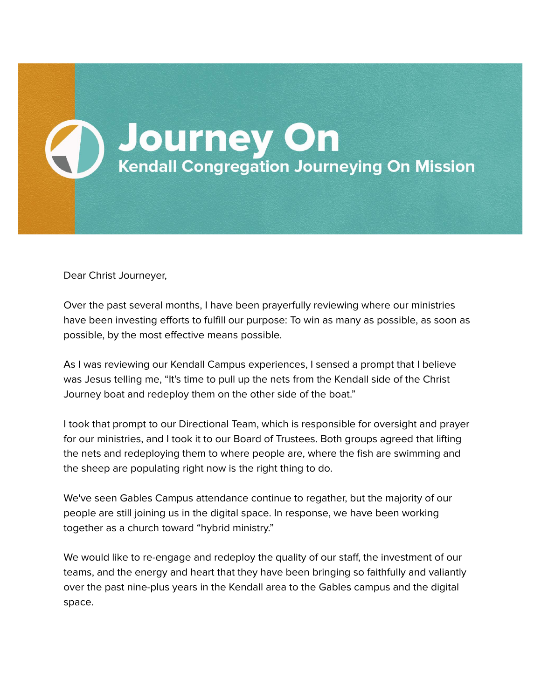

Dear Christ Journeyer,

Over the past several months, I have been prayerfully reviewing where our ministries have been investing efforts to fulfill our purpose: To win as many as possible, as soon as possible, by the most effective means possible.

As I was reviewing our Kendall Campus experiences, I sensed a prompt that I believe was Jesus telling me, "It's time to pull up the nets from the Kendall side of the Christ Journey boat and redeploy them on the other side of the boat."

I took that prompt to our Directional Team, which is responsible for oversight and prayer for our ministries, and I took it to our Board of Trustees. Both groups agreed that lifting the nets and redeploying them to where people are, where the fish are swimming and the sheep are populating right now is the right thing to do.

We've seen Gables Campus attendance continue to regather, but the majority of our people are still joining us in the digital space. In response, we have been working together as a church toward "hybrid ministry."

We would like to re-engage and redeploy the quality of our staff, the investment of our teams, and the energy and heart that they have been bringing so faithfully and valiantly over the past nine-plus years in the Kendall area to the Gables campus and the digital space.